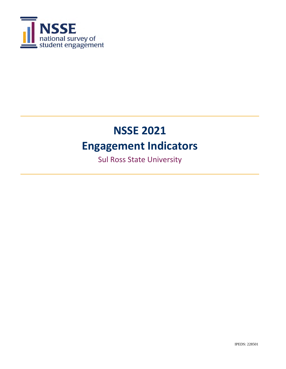

Sul Ross State University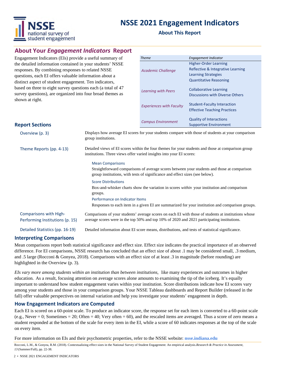

**Report Sections** 

## **NSSE 2021 Engagement Indicators**

**About This Report**

## **About Your** *Engagement Indicators* **Report**

Engagement Indicators (EIs) provide a useful summary of the detailed information contained in your students' NSSE responses. By combining responses to related NSSE questions, each EI offers valuable information about a distinct aspect of student engagement. Ten indicators, based on three to eight survey questions each (a total of 47 survey questions), are organized into four broad themes as shown at right.

| <b>Theme</b>                    | <b>Engagement Indicator</b>         |
|---------------------------------|-------------------------------------|
|                                 | <b>Higher-Order Learning</b>        |
| Academic Challenge              | Reflective & Integrative Learning   |
|                                 | <b>Learning Strategies</b>          |
|                                 | <b>Quantitative Reasoning</b>       |
|                                 | <b>Collaborative Learning</b>       |
| <b>Learning with Peers</b>      | Discussions with Diverse Others     |
|                                 |                                     |
| <b>Experiences with Faculty</b> | <b>Student-Faculty Interaction</b>  |
|                                 | <b>Effective Teaching Practices</b> |
|                                 | <b>Quality of Interactions</b>      |
| <b>Campus Environment</b>       |                                     |
|                                 | <b>Supportive Environment</b>       |

| Overview (p. 3)                                           | Displays how average EI scores for your students compare with those of students at your comparison<br>group institutions.                                                                              |
|-----------------------------------------------------------|--------------------------------------------------------------------------------------------------------------------------------------------------------------------------------------------------------|
| Theme Reports (pp. 4-13)                                  | Detailed views of EI scores within the four themes for your students and those at comparison group<br>institutions. Three views offer varied insights into your EI scores:                             |
|                                                           | <b>Mean Comparisons</b><br>Straightforward comparisons of average scores between your students and those at comparison<br>group institutions, with tests of significance and effect sizes (see below). |
|                                                           | <b>Score Distributions</b><br>Box-and-whisker charts show the variation in scores <i>within</i> your institution and comparison<br>groups.                                                             |
|                                                           | Performance on Indicator Items<br>Responses to each item in a given EI are summarized for your institution and comparison groups.                                                                      |
| Comparisons with High-<br>Performing Institutions (p. 15) | Comparisons of your students' average scores on each EI with those of students at institutions whose<br>average scores were in the top 50% and top 10% of 2020 and 2021 participating institutions.    |
| Detailed Statistics (pp. 16-19)                           | Detailed information about EI score means, distributions, and tests of statistical significance.                                                                                                       |

#### **Interpreting Comparisons**

Mean comparisons report both statistical significance and effect size. Effect size indicates the practical importance of an observed difference. For EI comparisons, NSSE research has concluded that an effect size of about .1 may be considered small, .3 medium, and .5 large (Rocconi & Gonyea, 2018). Comparisons with an effect size of at least .3 in magnitude (before rounding) are highlighted in the Overview (p. 3).

*EIs vary more among students within an institution than between institutions,* like many experiences and outcomes in higher education. As a result, focusing attention on average scores alone amounts to examining the tip of the iceberg. It's equally important to understand how student engagement varies within your institution. Score distributions indicate how EI scores vary among your students and those in your comparison groups. Your NSSE Tableau dashboards and Report Builder (released in the fall) offer valuable perspectives on internal variation and help you investigate your students' engagement in depth.

#### **How Engagement Indicators are Computed**

Each EI is scored on a 60-point scale. To produce an indicator score, the response set for each item is converted to a 60-point scale (e.g., Never  $= 0$ ; Sometimes  $= 20$ ; Often  $= 40$ ; Very often  $= 60$ ), and the rescaled items are averaged. Thus a score of zero means a student responded at the bottom of the scale for every item in the EI, while a score of 60 indicates responses at the top of the scale on every item.

For more information on EIs and their psychometric properties, refer to the NSSE website: **nsse.indiana.edu**

Rocconi, L.M., & Gonyea, R.M. (2018). Contextualizing effect sizes in the National Survey of Student Engagement: An empirical analysis. *Research & Practice in Assessment, 13* (Summer/Fall), pp. 22-38.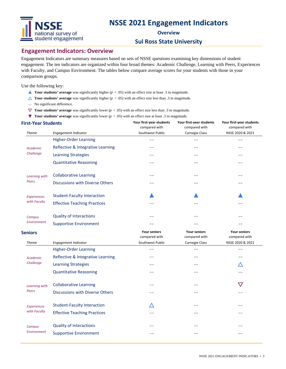

**Overview**

### **Sul Ross State University**

### **Engagement Indicators: Overview**

Engagement Indicators are summary measures based on sets of NSSE questions examining key dimensions of student engagement. The ten indicators are organized within four broad themes: Academic Challenge, Learning with Peers, Experiences with Faculty, and Campus Environment. The tables below compare average scores for your students with those in your comparison groups.

Use the following key:

- **▲ Your students' average** was significantly higher (*p* < .05) with an effect size at least .3 in magnitude.
- $\triangle$  Your students' average was significantly higher ( $p < .05$ ) with an effect size less than .3 in magnitude.
- **--** No significant difference.
- **V** Your students' average was significantly lower  $(p < .05)$  with an effect size less than .3 in magnitude.
- **▼ Your students' average** was significantly lower (*p* < .05) with an effect size at least .3 in magnitude.

| <b>First-Year Students</b> |                                     | Your first-year students<br>Your first-year students<br>compared with<br>compared with |                                      | Your first-year students<br>compared with |
|----------------------------|-------------------------------------|----------------------------------------------------------------------------------------|--------------------------------------|-------------------------------------------|
| <b>Theme</b>               | Engagement Indicator                | Southwest Public                                                                       | Carnegie Class                       | NSSE 2020 & 2021                          |
|                            | <b>Higher-Order Learning</b>        | $-$                                                                                    | $-$                                  | $ -$                                      |
| Academic                   | Reflective & Integrative Learning   |                                                                                        |                                      |                                           |
| Challenge                  | <b>Learning Strategies</b>          | $ -$                                                                                   | $-$                                  |                                           |
|                            | <b>Quantitative Reasoning</b>       | $-$                                                                                    | --                                   | $-$                                       |
| Learning with              | <b>Collaborative Learning</b>       | $-1$                                                                                   | $-$                                  |                                           |
| Peers                      | Discussions with Diverse Others     | --                                                                                     |                                      |                                           |
| <b>Experiences</b>         | <b>Student-Faculty Interaction</b>  |                                                                                        |                                      |                                           |
| with Faculty               | <b>Effective Teaching Practices</b> |                                                                                        |                                      |                                           |
| Campus                     | <b>Quality of Interactions</b>      |                                                                                        | --                                   |                                           |
| Environment                | <b>Supportive Environment</b>       |                                                                                        |                                      |                                           |
| <b>Seniors</b>             |                                     | <b>Your seniors</b><br>compared with                                                   | <b>Your seniors</b><br>compared with | <b>Your seniors</b><br>compared with      |
| <b>Theme</b>               | Engagement Indicator                | Southwest Public                                                                       | Carnegie Class                       | NSSE 2020 & 2021                          |
|                            | <b>Higher-Order Learning</b>        | $-$                                                                                    | $-$                                  | $ -$                                      |
| Academic                   | Reflective & Integrative Learning   | $ -$                                                                                   | $-$                                  |                                           |
| Challenge                  | <b>Learning Strategies</b>          | $ -$                                                                                   | $-$                                  | Λ                                         |
|                            | <b>Quantitative Reasoning</b>       | $ -$                                                                                   | $- -$                                |                                           |
| Learning with              | <b>Collaborative Learning</b>       | $ -$                                                                                   | $-$                                  | 7                                         |
| Peers                      | Discussions with Diverse Others     | --                                                                                     | --                                   |                                           |
| <b>Experiences</b>         | <b>Student-Faculty Interaction</b>  | ╱╲                                                                                     | --                                   |                                           |
| with Faculty               | <b>Effective Teaching Practices</b> | $ -$                                                                                   | $ -$                                 |                                           |
| Campus                     | <b>Quality of Interactions</b>      |                                                                                        |                                      |                                           |
| Environment                | <b>Supportive Environment</b>       |                                                                                        |                                      |                                           |
|                            |                                     |                                                                                        |                                      |                                           |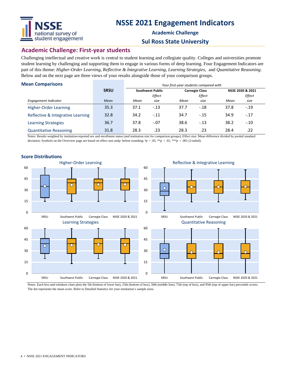

**Academic Challenge**

## **Sul Ross State University**

## **Academic Challenge: First‐year students**

Challenging intellectual and creative work is central to student learning and collegiate quality. Colleges and universities promote student learning by challenging and supporting them to engage in various forms of deep learning. Four Engagement Indicators are part of this theme: *Higher-Order Learning, Reflective & Integrative Learning, Learning Strategies,* and *Quantitative Reasoning.*  Below and on the next page are three views of your results alongside those of your comparison groups.

| <b>Mean Comparisons</b>           |             |      |                         | Your first-year students compared with |                       |      |                  |
|-----------------------------------|-------------|------|-------------------------|----------------------------------------|-----------------------|------|------------------|
|                                   | <b>SRSU</b> |      | <b>Southwest Public</b> |                                        | <b>Carnegie Class</b> |      | NSSE 2020 & 2021 |
|                                   |             |      | Effect                  |                                        | Effect                |      | Effect           |
| Engagement Indicator              | Mean        | Mean | size                    | Mean                                   | size                  | Mean | size             |
| Higher-Order Learning             | 35.3        | 37.1 | $-.13$                  | 37.7                                   | $-.18$                | 37.8 | $-.19$           |
| Reflective & Integrative Learning | 32.8        | 34.2 | $-.11$                  | 34.7                                   | $-.15$                | 34.9 | $-.17$           |
| <b>Learning Strategies</b>        | 36.7        | 37.8 | $-.07$                  | 38.6                                   | $-.13$                | 38.2 | $-.10$           |
| <b>Quantitative Reasoning</b>     | 31.8        | 28.3 | .23                     | 28.3                                   | .23                   | 28.4 | .22              |

Notes: Results weighted by institution-reported sex and enrollment status (and institution size for comparison groups); Effect size: Mean difference divided by pooled standard deviation; Symbols on the Overview page are based on effect size and *p* before rounding; \**p* < .05, \*\**p* < .01, \*\*\**p* < .001 (2-tailed).



Notes: Each box-and-whiskers chart plots the 5th (bottom of lower bar), 25th (bottom of box), 50th (middle line), 75th (top of box), and 95th (top of upper bar) percentile scores. The dot represents the mean score. Refer to Detailed Statistics for your institution's sample sizes.

#### **Score Distributions**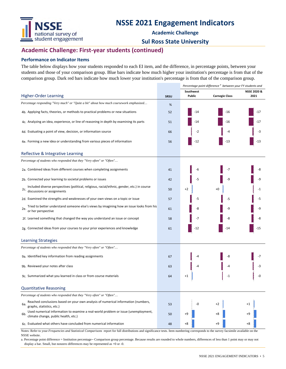

**Academic Challenge**

**Sul Ross State University**

## **Academic Challenge: First‐year students (continued)**

#### **Performance on Indicator Items**

The table below displays how your students responded to each EI item, and the difference, in percentage points, between your students and those of your comparison group. Blue bars indicate how much higher your institution's percentage is from that of the comparison group. Dark red bars indicate how much lower your institution's percentage is from that of the comparison group.

|                                                                                                                                   |             |                     | Percentage point difference <sup>a</sup> between your FY students and |                     |
|-----------------------------------------------------------------------------------------------------------------------------------|-------------|---------------------|-----------------------------------------------------------------------|---------------------|
| <b>Higher-Order Learning</b>                                                                                                      | <b>SRSU</b> | Southwest<br>Public | <b>Carnegie Class</b>                                                 | NSSE 2020 &<br>2021 |
| Percentage responding "Very much" or "Quite a bit" about how much coursework emphasized                                           | %           |                     |                                                                       |                     |
| 4b. Applying facts, theories, or methods to practical problems or new situations                                                  | 52          | -14                 | $-16$                                                                 | $-17$               |
| 4c. Analyzing an idea, experience, or line of reasoning in depth by examining its parts                                           | 51          | -14                 | -16                                                                   | $-17$               |
| 4d. Evaluating a point of view, decision, or information source                                                                   | 66          | -2                  | -4                                                                    | -3                  |
| 4e. Forming a new idea or understanding from various pieces of information                                                        | 56          | -12                 | -13                                                                   | -13                 |
| Reflective & Integrative Learning                                                                                                 |             |                     |                                                                       |                     |
| Percentage of students who responded that they "Very often" or "Often"                                                            |             |                     |                                                                       |                     |
| 2a. Combined ideas from different courses when completing assignments                                                             | 41          | -6                  | -7                                                                    | -8                  |
| 2b. Connected your learning to societal problems or issues                                                                        | 42          | -5                  | -9                                                                    | -9                  |
| Included diverse perspectives (political, religious, racial/ethnic, gender, etc.) in course<br>2c.<br>discussions or assignments  | 50          | $+2$                | $+0$                                                                  | -1                  |
| 2d. Examined the strengths and weaknesses of your own views on a topic or issue                                                   | 57          | -5                  | -5                                                                    | -5                  |
| Tried to better understand someone else's views by imagining how an issue looks from his<br>2e.<br>or her perspective             | 61          | -8                  | -9                                                                    | -9                  |
| 2f. Learned something that changed the way you understand an issue or concept                                                     | 58          | -7                  | -8                                                                    | -8                  |
| 2g. Connected ideas from your courses to your prior experiences and knowledge                                                     | 61          | $-12$               | -14                                                                   | $-15$               |
| <b>Learning Strategies</b>                                                                                                        |             |                     |                                                                       |                     |
| Percentage of students who responded that they "Very often" or "Often"                                                            |             |                     |                                                                       |                     |
| 9a. Identified key information from reading assignments                                                                           | 67          |                     |                                                                       |                     |
| 9b. Reviewed your notes after class                                                                                               | 63          |                     | -4                                                                    | -3                  |
| 9c. Summarized what you learned in class or from course materials                                                                 | 64          | $+1$                | $-1$                                                                  | -0                  |
| <b>Quantitative Reasoning</b>                                                                                                     |             |                     |                                                                       |                     |
| Percentage of students who responded that they "Very often" or "Often"                                                            |             |                     |                                                                       |                     |
| Reached conclusions based on your own analysis of numerical information (numbers,<br>6а.<br>graphs, statistics, etc.)             | 53          | -0                  | $+2$                                                                  | $+1$                |
| Used numerical information to examine a real-world problem or issue (unemployment,<br>6b.<br>climate change, public health, etc.) | 50          | $+9$                | $+8$                                                                  | +9                  |
| 6c. Evaluated what others have concluded from numerical information                                                               | 48          | $+8$                | +9                                                                    | +8                  |
|                                                                                                                                   |             |                     |                                                                       |                     |

Notes: Refer to your *Frequencies and Statistical Comparisons* report for full distributions and significance tests. Item numbering corresponds to the survey facsimile available on the NSSE website.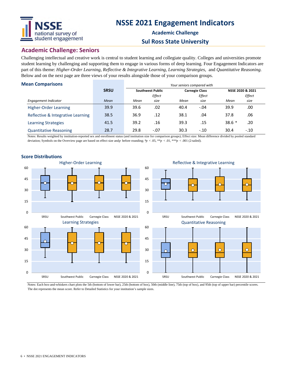

**Academic Challenge**

## **Sul Ross State University**

### **Academic Challenge: Seniors**

Challenging intellectual and creative work is central to student learning and collegiate quality. Colleges and universities promote student learning by challenging and supporting them to engage in various forms of deep learning. Four Engagement Indicators are part of this theme: *Higher-Order Learning, Reflective & Integrative Learning, Learning Strategies,* and *Quantitative Reasoning.*  Below and on the next page are three views of your results alongside those of your comparison groups.

| <b>Mean Comparisons</b>           |                                        |      |        | Your seniors compared with |               |                  |        |
|-----------------------------------|----------------------------------------|------|--------|----------------------------|---------------|------------------|--------|
|                                   | <b>SRSU</b><br><b>Southwest Public</b> |      |        | <b>Carnegie Class</b>      |               | NSSE 2020 & 2021 |        |
|                                   |                                        |      | Effect |                            | <b>Effect</b> |                  | Effect |
| Engagement Indicator              | Mean                                   | Mean | size   | Mean                       | size          | Mean             | size   |
| Higher-Order Learning             | 39.9                                   | 39.6 | .02    | 40.4                       | $-.04$        | 39.9             | .00    |
| Reflective & Integrative Learning | 38.5                                   | 36.9 | .12    | 38.1                       | .04           | 37.8             | .06    |
| <b>Learning Strategies</b>        | 41.5                                   | 39.2 | .16    | 39.3                       | .15           | $38.6*$          | .20    |
| <b>Quantitative Reasoning</b>     | 28.7                                   | 29.8 | $-.07$ | 30.3                       | $-.10$        | 30.4             | $-.10$ |

Notes: Results weighted by institution-reported sex and enrollment status (and institution size for comparison groups); Effect size: Mean difference divided by pooled standard deviation; Symbols on the Overview page are based on effect size and *p* before rounding; \**p* < .05, \*\**p* < .01, \*\*\**p* < .001 (2-tailed).



Notes: Each box-and-whiskers chart plots the 5th (bottom of lower bar), 25th (bottom of box), 50th (middle line), 75th (top of box), and 95th (top of upper bar) percentile scores. The dot represents the mean score. Refer to Detailed Statistics for your institution's sample sizes.

#### **Score Distributions**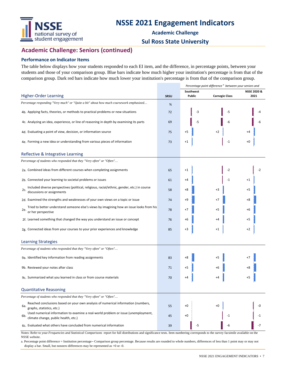

**Academic Challenge**

**Sul Ross State University**

## **Academic Challenge: Seniors (continued)**

#### **Performance on Indicator Items**

The table below displays how your students responded to each EI item, and the difference, in percentage points, between your students and those of your comparison group. Blue bars indicate how much higher your institution's percentage is from that of the comparison group. Dark red bars indicate how much lower your institution's percentage is from that of the comparison group.

|                                                                                                                                   |             |                     | Percentage point difference <sup>a</sup> between your seniors and |                       |                                |
|-----------------------------------------------------------------------------------------------------------------------------------|-------------|---------------------|-------------------------------------------------------------------|-----------------------|--------------------------------|
| <b>Higher-Order Learning</b>                                                                                                      | <b>SRSU</b> | Southwest<br>Public |                                                                   | <b>Carnegie Class</b> | <b>NSSE 2020 &amp;</b><br>2021 |
| Percentage responding "Very much" or "Quite a bit" about how much coursework emphasized                                           | %           |                     |                                                                   |                       |                                |
| 4b. Applying facts, theories, or methods to practical problems or new situations                                                  | 72          |                     | -3                                                                | -5                    |                                |
| 4c. Analyzing an idea, experience, or line of reasoning in depth by examining its parts                                           | 69          |                     | -5                                                                | -6                    | -6                             |
| 4d. Evaluating a point of view, decision, or information source                                                                   | 75          | +5                  | $+2$                                                              |                       | +4                             |
| 4e. Forming a new idea or understanding from various pieces of information                                                        | 73          | $+1$                |                                                                   | $-1$                  | $+0$                           |
| Reflective & Integrative Learning                                                                                                 |             |                     |                                                                   |                       |                                |
| Percentage of students who responded that they "Very often" or "Often"                                                            |             |                     |                                                                   |                       |                                |
| 2a. Combined ideas from different courses when completing assignments                                                             | 65          | $+1$                |                                                                   | $-2$                  | $-2$                           |
| 2b. Connected your learning to societal problems or issues                                                                        | 61          | +4                  |                                                                   | $-1$                  | $+1$                           |
| Included diverse perspectives (political, religious, racial/ethnic, gender, etc.) in course<br>2c.<br>discussions or assignments  | 58          | +8                  | $+3$                                                              |                       | $+5$                           |
| 2d. Examined the strengths and weaknesses of your own views on a topic or issue                                                   | 74          | +9                  | $+7$                                                              |                       | $+8$                           |
| Tried to better understand someone else's views by imagining how an issue looks from his<br>2e.<br>or her perspective             | 78          | $+7$                | $+5$                                                              |                       | +6                             |
| 2f. Learned something that changed the way you understand an issue or concept                                                     | 76          | +6                  | $+4$                                                              |                       | $+5$                           |
| 2g. Connected ideas from your courses to your prior experiences and knowledge                                                     | 85          | $+3$                | $+1$                                                              |                       | $+2$                           |
| <b>Learning Strategies</b>                                                                                                        |             |                     |                                                                   |                       |                                |
| Percentage of students who responded that they "Very often" or "Often"                                                            |             |                     |                                                                   |                       |                                |
| 9a. Identified key information from reading assignments                                                                           | 83          | +8                  | $+5$                                                              |                       | $+7$                           |
| 9b. Reviewed your notes after class                                                                                               | 71          | $+5$                | +6                                                                |                       | +8                             |
| 9c. Summarized what you learned in class or from course materials                                                                 | 70          | +4                  | $+4$                                                              |                       | $+5$                           |
| <b>Quantitative Reasoning</b>                                                                                                     |             |                     |                                                                   |                       |                                |
| Percentage of students who responded that they "Very often" or "Often"                                                            |             |                     |                                                                   |                       |                                |
| Reached conclusions based on your own analysis of numerical information (numbers,<br>6a.<br>graphs, statistics, etc.)             | 55          | $+0$                | $+0$                                                              |                       | -0                             |
| Used numerical information to examine a real-world problem or issue (unemployment,<br>6b.<br>climate change, public health, etc.) | 45          | $+0$                |                                                                   | -1                    |                                |
| 6c. Evaluated what others have concluded from numerical information                                                               | 39          |                     | -5                                                                | -6                    |                                |

Notes: Refer to your *Frequencies and Statistical Comparisons* report for full distributions and significance tests. Item numbering corresponds to the survey facsimile available on the NSSE website.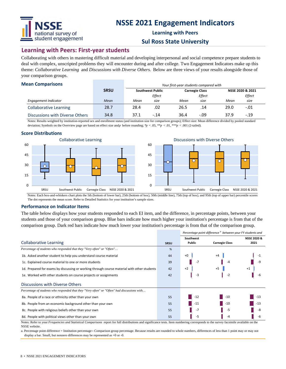

**Learning with Peers**

### **Sul Ross State University**

### **Learning with Peers: First‐year students**

Collaborating with others in mastering difficult material and developing interpersonal and social competence prepare students to deal with complex, unscripted problems they will encounter during and after college. Two Engagement Indicators make up this theme: *Collaborative Learning* and *Discussions with Diverse Others.* Below are three views of your results alongside those of your comparison groups.

| <b>Mean Comparisons</b>         |      |             |        | Your first-year students compared with |        |                       |        |                  |
|---------------------------------|------|-------------|--------|----------------------------------------|--------|-----------------------|--------|------------------|
|                                 |      | <b>SRSU</b> |        | <b>Southwest Public</b>                |        | <b>Carnegie Class</b> |        | NSSE 2020 & 2021 |
|                                 |      |             | Effect |                                        | Effect |                       | Effect |                  |
| Engagement Indicator            | Mean | Mean        | size   | Mean                                   | size   | Mean                  | size   |                  |
| <b>Collaborative Learning</b>   | 28.7 | 28.4        | .02    | 26.5                                   | .14    | 29.0                  | $-.01$ |                  |
| Discussions with Diverse Others | 34.8 | 37.1        | $-14$  | 36.4                                   | $-.09$ | 37.9                  | $-.19$ |                  |

Notes: Results weighted by institution-reported sex and enrollment status (and institution size for comparison groups); Effect size: Mean difference divided by pooled standard deviation; Symbols on the Overview page are based on effect size and *p* before rounding;  $\phi$  < .05, \*\* $p$  < .01, \*\*\* $p$  < .001 (2-tailed).

#### **Score Distributions**



Notes: Each box-and-whiskers chart plots the 5th (bottom of lower bar), 25th (bottom of box), 50th (middle line), 75th (top of box), and 95th (top of upper bar) percentile scores The dot represents the mean score. Refer to Detailed Statistics for your institution's sample sizes.

#### **Performance on Indicator Items**

The table below displays how your students responded to each EI item, and the difference, in percentage points, between your students and those of your comparison group. Blue bars indicate how much higher your institution's percentage is from that of the comparison group. Dark red bars indicate how much lower your institution's percentage is from that of the comparison group.

|                                                                                                                                                                                                                                                                                       |             | Percentage point difference <sup>a</sup> between your FY students and |                                 |      |       |                        |       |  |
|---------------------------------------------------------------------------------------------------------------------------------------------------------------------------------------------------------------------------------------------------------------------------------------|-------------|-----------------------------------------------------------------------|---------------------------------|------|-------|------------------------|-------|--|
|                                                                                                                                                                                                                                                                                       |             |                                                                       | Southwest                       |      |       | <b>NSSE 2020 &amp;</b> |       |  |
| <b>Collaborative Learning</b>                                                                                                                                                                                                                                                         | <b>SRSU</b> |                                                                       | Public<br><b>Carnegie Class</b> |      |       | 2021                   |       |  |
| Percentage of students who responded that they "Very often" or "Often"                                                                                                                                                                                                                | %           |                                                                       |                                 |      |       |                        |       |  |
| 1b. Asked another student to help you understand course material                                                                                                                                                                                                                      | 44          | $+0$                                                                  |                                 | $+4$ |       |                        |       |  |
| 1c. Explained course material to one or more students                                                                                                                                                                                                                                 | 39          |                                                                       |                                 |      |       |                        |       |  |
| 1d. Prepared for exams by discussing or working through course material with other students                                                                                                                                                                                           | 42          | $+2$                                                                  |                                 | $+5$ |       | $+1$                   |       |  |
| 1e. Worked with other students on course projects or assignments                                                                                                                                                                                                                      | 42          |                                                                       | -3                              |      | $-2$  |                        | -6    |  |
| Discussions with Diverse Others                                                                                                                                                                                                                                                       |             |                                                                       |                                 |      |       |                        |       |  |
| Percentage of students who responded that they "Very often" or "Often" had discussions with                                                                                                                                                                                           |             |                                                                       |                                 |      |       |                        |       |  |
| 8a. People of a race or ethnicity other than your own                                                                                                                                                                                                                                 | 55          |                                                                       | $-12$                           |      | $-10$ |                        | $-13$ |  |
| 8b. People from an economic background other than your own                                                                                                                                                                                                                            | 55          |                                                                       | $-11$                           |      | $-10$ |                        | $-13$ |  |
| 8c. People with religious beliefs other than your own                                                                                                                                                                                                                                 | 55          |                                                                       |                                 |      | -5    |                        |       |  |
| 8d. People with political views other than your own<br>and the comment of the comment of the comment of the comment of the comment of the comment of the comment of the comment of the comment of the comment of the comment of the comment of the comment of the comment of the comm | 55          |                                                                       | -5                              |      | -4    |                        | -6    |  |

Notes: Refer to your *Frequencies and Statistical Comparisons* report for full distributions and significance tests. Item numbering corresponds to the survey facsimile available on the NSSE website.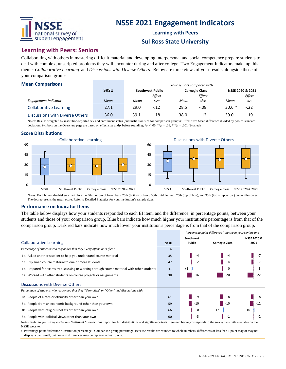

**Learning with Peers**

### **Sul Ross State University**

### **Learning with Peers: Seniors**

Collaborating with others in mastering difficult material and developing interpersonal and social competence prepare students to deal with complex, unscripted problems they will encounter during and after college. Two Engagement Indicators make up this theme: *Collaborative Learning* and *Discussions with Diverse Others.* Below are three views of your results alongside those of your comparison groups.

| <b>Mean Comparisons</b>         |             |                         |        | Your seniors compared with |                       |         |                  |  |
|---------------------------------|-------------|-------------------------|--------|----------------------------|-----------------------|---------|------------------|--|
|                                 | <b>SRSU</b> | <b>Southwest Public</b> |        |                            | <b>Carnegie Class</b> |         | NSSE 2020 & 2021 |  |
|                                 |             |                         | Effect |                            | Effect                |         | Effect           |  |
| Engagement Indicator            | Mean        | Mean                    | size   | Mean                       | size                  | Mean    | size             |  |
| <b>Collaborative Learning</b>   | 27.1        | 29.0                    | $-.12$ | 28.5                       | $-.08$                | $30.6*$ | $-.22$           |  |
| Discussions with Diverse Others | 36.0        | 39.1                    | $-.18$ | 38.0                       | $-12$                 | 39.0    | $-.19$           |  |

Notes: Results weighted by institution-reported sex and enrollment status (and institution size for comparison groups); Effect size: Mean difference divided by pooled standard deviation; Symbols on the Overview page are based on effect size and *p* before rounding;  $\phi$  < .05, \*\* $p$  < .01, \*\*\* $p$  < .001 (2-tailed).

#### **Score Distributions**



Notes: Each box-and-whiskers chart plots the 5th (bottom of lower bar), 25th (bottom of box), 50th (middle line), 75th (top of box), and 95th (top of upper bar) percentile scores The dot represents the mean score. Refer to Detailed Statistics for your institution's sample sizes.

#### **Performance on Indicator Items**

The table below displays how your students responded to each EI item, and the difference, in percentage points, between your students and those of your comparison group. Blue bars indicate how much higher your institution's percentage is from that of the comparison group. Dark red bars indicate how much lower your institution's percentage is from that of the comparison group.

|                                                                                                                                                                                                                                                                                                                                                                                                       |             | Percentage point difference <sup>a</sup> between your seniors and |                        |       |  |  |  |
|-------------------------------------------------------------------------------------------------------------------------------------------------------------------------------------------------------------------------------------------------------------------------------------------------------------------------------------------------------------------------------------------------------|-------------|-------------------------------------------------------------------|------------------------|-------|--|--|--|
|                                                                                                                                                                                                                                                                                                                                                                                                       |             | Southwest                                                         | <b>NSSE 2020 &amp;</b> |       |  |  |  |
| <b>Collaborative Learning</b>                                                                                                                                                                                                                                                                                                                                                                         | <b>SRSU</b> | Public                                                            | <b>Carnegie Class</b>  | 2021  |  |  |  |
| Percentage of students who responded that they "Very often" or "Often"                                                                                                                                                                                                                                                                                                                                | %           |                                                                   |                        |       |  |  |  |
| 1b. Asked another student to help you understand course material                                                                                                                                                                                                                                                                                                                                      | 35          |                                                                   |                        |       |  |  |  |
| 1c. Explained course material to one or more students                                                                                                                                                                                                                                                                                                                                                 | 47          |                                                                   |                        |       |  |  |  |
| 1d. Prepared for exams by discussing or working through course material with other students                                                                                                                                                                                                                                                                                                           | 41          | $+1$                                                              | -0                     | -3    |  |  |  |
| 1e. Worked with other students on course projects or assignments                                                                                                                                                                                                                                                                                                                                      | 38          | $-16$                                                             | $-20$                  | $-22$ |  |  |  |
| Discussions with Diverse Others                                                                                                                                                                                                                                                                                                                                                                       |             |                                                                   |                        |       |  |  |  |
| Percentage of students who responded that they "Very often" or "Often" had discussions with                                                                                                                                                                                                                                                                                                           |             |                                                                   |                        |       |  |  |  |
| 8a. People of a race or ethnicity other than your own                                                                                                                                                                                                                                                                                                                                                 | 61          | -9                                                                | -8                     |       |  |  |  |
| 8b. People from an economic background other than your own                                                                                                                                                                                                                                                                                                                                            | 59          | $-10$                                                             | $-10$                  | $-12$ |  |  |  |
| 8c. People with religious beliefs other than your own                                                                                                                                                                                                                                                                                                                                                 | 66          | -0                                                                | $+2$                   | $+0$  |  |  |  |
| 8d. People with political views other than your own                                                                                                                                                                                                                                                                                                                                                   | 60          | -3                                                                | -1                     | $-2$  |  |  |  |
| $\mathbf{M}_{\text{max}}$ , $\mathbf{p}_{\text{max}}$ , $\mathbf{p}_{\text{max}}$ , $\mathbf{p}_{\text{max}}$ , $\mathbf{p}_{\text{max}}$ , $\mathbf{p}_{\text{max}}$ , $\mathbf{p}_{\text{max}}$ , $\mathbf{p}_{\text{max}}$ , $\mathbf{p}_{\text{max}}$ , $\mathbf{p}_{\text{max}}$ , $\mathbf{p}_{\text{max}}$ , $\mathbf{p}_{\text{max}}$ , $\mathbf{p}_{\text{max}}$ , $\mathbf{p}_{\text{max}}$ |             |                                                                   |                        |       |  |  |  |

Notes: Refer to your *Frequencies and Statistical Comparisons* report for full distributions and significance tests. Item numbering corresponds to the survey facsimile available on the NSSE website.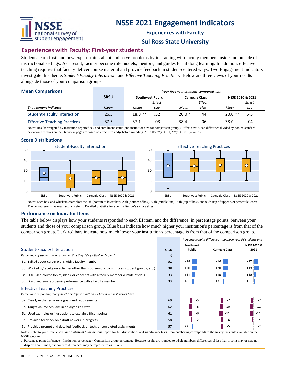

**Experiences with Faculty**

### **Sul Ross State University**

### **Experiences with Faculty: First‐year students**

Students learn firsthand how experts think about and solve problems by interacting with faculty members inside and outside of instructional settings. As a result, faculty become role models, mentors, and guides for lifelong learning. In addition, effective teaching requires that faculty deliver course material and provide feedback in student-centered ways. Two Engagement Indicators investigate this theme: *Student-Faculty Interaction* and *Effective Teaching Practices.* Below are three views of your results alongside those of your comparison groups.

| <b>Mean Comparisons</b>             |             |                         |        | Your first-year students compared with |                       |                  |        |  |
|-------------------------------------|-------------|-------------------------|--------|----------------------------------------|-----------------------|------------------|--------|--|
|                                     | <b>SRSU</b> | <b>Southwest Public</b> |        |                                        | <b>Carnegie Class</b> | NSSE 2020 & 2021 |        |  |
|                                     |             |                         | Effect |                                        | Effect                |                  | Effect |  |
| Engagement Indicator                | Mean        | Mean                    | size   | Mean                                   | size                  | Mean             | size   |  |
| <b>Student-Faculty Interaction</b>  | 26.5        | $18.8$ **               | .52    | $20.0*$                                | .44                   | $20.0$ **        | .45    |  |
| <b>Effective Teaching Practices</b> | 37.5        | 37.1                    | .03    | 38.4                                   | $-.06$                | 38.0             | $-.04$ |  |

Notes: Results weighted by institution-reported sex and enrollment status (and institution size for comparison groups); Effect size: Mean difference divided by pooled standard deviation; Symbols on the Overview page are based on effect size and *p* before rounding;  $\gamma p < 0.05$ ,  $\gamma p < 0.01$ ,  $\gamma p < 0.01$  (2-tailed).

#### **Score Distributions**



Notes: Each box-and-whiskers chart plots the 5th (bottom of lower bar), 25th (bottom of box), 50th (middle line), 75th (top of box), and 95th (top of upper bar) percentile scores The dot represents the mean score. Refer to Detailed Statistics for your institution's sample sizes.

#### **Performance on Indicator Items**

The table below displays how your students responded to each EI item, and the difference, in percentage points, between your students and those of your comparison group. Blue bars indicate how much higher your institution's percentage is from that of the comparison group. Dark red bars indicate how much lower your institution's percentage is from that of the comparison group.

|                                                                                             |             |           | Percentage point difference <sup>a</sup> between your FY students and |                        |
|---------------------------------------------------------------------------------------------|-------------|-----------|-----------------------------------------------------------------------|------------------------|
|                                                                                             |             | Southwest |                                                                       | <b>NSSE 2020 &amp;</b> |
| <b>Student-Faculty Interaction</b>                                                          | <b>SRSU</b> | Public    | <b>Carnegie Class</b>                                                 | 2021                   |
| Percentage of students who responded that they "Very often" or "Often"                      | %           |           |                                                                       |                        |
| 3a. Talked about career plans with a faculty member                                         | 52          | $+18$     | $+16$                                                                 | $+17$                  |
| 3b. Worked w/faculty on activities other than coursework (committees, student groups, etc.) | 38          | $+20$     | $+20$                                                                 | $+19$                  |
| 3c. Discussed course topics, ideas, or concepts with a faculty member outside of class      | 33          | $+11$     | $+10$                                                                 | $+10$                  |
| 3d. Discussed your academic performance with a faculty member                               | 33          | $+8$      | $+3$                                                                  | $+5$                   |
| <b>Effective Teaching Practices</b>                                                         |             |           |                                                                       |                        |
| Percentage responding "Very much" or "Quite a bit" about how much instructors have          |             |           |                                                                       |                        |
| 5a. Clearly explained course goals and requirements                                         | 69          | -5        | $-7$                                                                  |                        |
| 5b. Taught course sessions in an organized way                                              | 62          | -8        | $-10$                                                                 |                        |
| 5c. Used examples or illustrations to explain difficult points                              | 61          | -9        | $-11$                                                                 | $-11$                  |
| 5d. Provided feedback on a draft or work in progress                                        | 58          | $-2$      | -6                                                                    | -Δ                     |
| 5e. Provided prompt and detailed feedback on tests or completed assignments                 | 57          | $+2$      | -5                                                                    | $-2$                   |

Notes: Refer to your *Frequencies and Statistical Comparisons* report for full distributions and significance tests. Item numbering corresponds to the survey facsimile available on the NSSE website.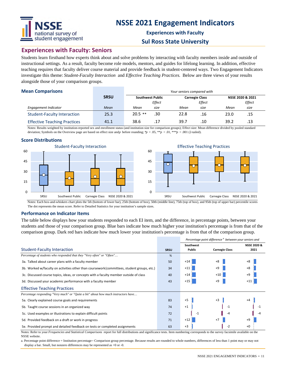

**Experiences with Faculty Sul Ross State University**

### **Experiences with Faculty: Seniors**

Students learn firsthand how experts think about and solve problems by interacting with faculty members inside and outside of instructional settings. As a result, faculty become role models, mentors, and guides for lifelong learning. In addition, effective teaching requires that faculty deliver course material and provide feedback in student-centered ways. Two Engagement Indicators investigate this theme: *Student-Faculty Interaction* and *Effective Teaching Practices.* Below are three views of your results alongside those of your comparison groups.

#### **Mean Comparisons**

| lean Comparisons                    |             |           |                         | Your seniors compared with |                       |      |                  |  |
|-------------------------------------|-------------|-----------|-------------------------|----------------------------|-----------------------|------|------------------|--|
|                                     | <b>SRSU</b> |           | <b>Southwest Public</b> |                            | <b>Carnegie Class</b> |      | NSSE 2020 & 2021 |  |
|                                     |             |           | Effect                  |                            | Effect                |      | Effect           |  |
| Engagement Indicator                | Mean        | Mean      | size                    | Mean                       | size                  | Mean | size             |  |
| <b>Student-Faculty Interaction</b>  | 25.3        | $20.5$ ** | .30                     | 22.8                       | .16                   | 23.0 | .15              |  |
| <b>Effective Teaching Practices</b> | 41.1        | 38.6      | .17                     | 39.7                       | .10                   | 39.2 | .13              |  |

Notes: Results weighted by institution-reported sex and enrollment status (and institution size for comparison groups); Effect size: Mean difference divided by pooled standard deviation; Symbols on the Overview page are based on effect size and *p* before rounding;  $\gamma p < .05$ ,  $\ast \gamma p < .01$ ,  $\ast \ast \gamma p < .001$  (2-tailed).

#### **Score Distributions**



Notes: Each box-and-whiskers chart plots the 5th (bottom of lower bar), 25th (bottom of box), 50th (middle line), 75th (top of box), and 95th (top of upper bar) percentile scores The dot represents the mean score. Refer to Detailed Statistics for your institution's sample sizes.

#### **Performance on Indicator Items**

The table below displays how your students responded to each EI item, and the difference, in percentage points, between your students and those of your comparison group. Blue bars indicate how much higher your institution's percentage is from that of the comparison group. Dark red bars indicate how much lower your institution's percentage is from that of the comparison group.

|                                                                                             |             | Percentage point difference <sup>a</sup> between your seniors and |                       |                        |  |  |  |
|---------------------------------------------------------------------------------------------|-------------|-------------------------------------------------------------------|-----------------------|------------------------|--|--|--|
|                                                                                             |             | Southwest                                                         |                       | <b>NSSE 2020 &amp;</b> |  |  |  |
| <b>Student-Faculty Interaction</b>                                                          | <b>SRSU</b> | Public                                                            | <b>Carnegie Class</b> | 2021                   |  |  |  |
| Percentage of students who responded that they "Very often" or "Often"                      | %           |                                                                   |                       |                        |  |  |  |
| 3a. Talked about career plans with a faculty member                                         | 50          | $+14$                                                             | $+8$                  | $+8$                   |  |  |  |
| 3b. Worked w/faculty on activities other than coursework (committees, student groups, etc.) | 34          | $+11$                                                             | $+9$                  | $+8$                   |  |  |  |
| 3c. Discussed course topics, ideas, or concepts with a faculty member outside of class      | 40          | $+14$                                                             | $+10$                 | $+9$                   |  |  |  |
| 3d. Discussed your academic performance with a faculty member                               | 43          | $+15$                                                             | +9                    | +11                    |  |  |  |
| <b>Effective Teaching Practices</b>                                                         |             |                                                                   |                       |                        |  |  |  |
| Percentage responding "Very much" or "Quite a bit" about how much instructors have          |             |                                                                   |                       |                        |  |  |  |
| 5a. Clearly explained course goals and requirements                                         | 83          | $+5$                                                              | $+3$                  | $+4$                   |  |  |  |
| 5b. Taught course sessions in an organized way                                              | 74          | $+1$                                                              | $-1$                  |                        |  |  |  |
| 5c. Used examples or illustrations to explain difficult points                              | 72          | $-1$                                                              | -4                    |                        |  |  |  |
| 5d. Provided feedback on a draft or work in progress                                        | 71          | $+12$                                                             | $+7$                  | $+9$                   |  |  |  |
| 5e. Provided prompt and detailed feedback on tests or completed assignments                 | 63          | $+3$                                                              | $-2$                  | $+0$                   |  |  |  |

Notes: Refer to your *Frequencies and Statistical Comparisons* report for full distributions and significance tests. Item numbering corresponds to the survey facsimile available on the NSSE website.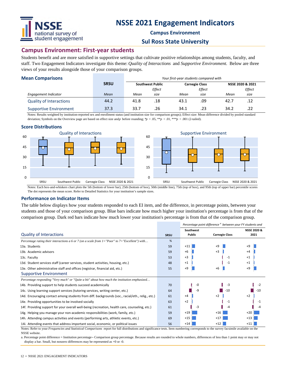

**Campus Environment**

### **Sul Ross State University**

## **Campus Environment: First‐year students**

Students benefit and are more satisfied in supportive settings that cultivate positive relationships among students, faculty, and staff. Two Engagement Indicators investigate this theme: *Quality of Interactions* and *Supportive Environment.* Below are three views of your results alongside those of your comparison groups.

| <b>Mean Comparisons</b>        |             |      |                         | Your first-year students compared with |                       |      |                  |  |
|--------------------------------|-------------|------|-------------------------|----------------------------------------|-----------------------|------|------------------|--|
|                                | <b>SRSU</b> |      | <b>Southwest Public</b> |                                        | <b>Carnegie Class</b> |      | NSSE 2020 & 2021 |  |
|                                |             |      | Effect                  |                                        | <b>Effect</b>         |      | Effect           |  |
| Engagement Indicator           | Mean        | Mean | size                    | Mean                                   | size                  | Mean | size             |  |
| <b>Quality of Interactions</b> | 44.2        | 41.8 | .18                     | 43.1                                   | .09                   | 42.7 | .12              |  |
| <b>Supportive Environment</b>  | 37.3        | 33.7 | .26                     | 34.1                                   | .23                   | 34.2 | .22              |  |

Notes: Results weighted by institution-reported sex and enrollment status (and institution size for comparison groups); Effect size: Mean difference divided by pooled standard deviation; Symbols on the Overview page are based on effect size and *p* before rounding;  $\gamma p < .05$ ,  $\gamma p < .01$ ,  $\gamma p$  = .001 (2-tailed).

#### **Score Distributions**



Notes: Each box-and-whiskers chart plots the 5th (bottom of lower bar), 25th (bottom of box), 50th (middle line), 75th (top of box), and 95th (top of upper bar) percentile scores The dot represents the mean score. Refer to Detailed Statistics for your institution's sample sizes.

#### **Performance on Indicator Items**

The table below displays how your students responded to each EI item, and the difference, in percentage points, between your students and those of your comparison group. Blue bars indicate how much higher your institution's percentage is from that of the comparison group. Dark red bars indicate how much lower your institution's percentage is from that of the comparison group.

|                                                                                                      |             |               | Percentage point difference <sup>a</sup> between your FY students and |                        |
|------------------------------------------------------------------------------------------------------|-------------|---------------|-----------------------------------------------------------------------|------------------------|
|                                                                                                      |             | Southwest     |                                                                       | <b>NSSE 2020 &amp;</b> |
| <b>Quality of Interactions</b>                                                                       | <b>SRSU</b> | <b>Public</b> | <b>Carnegie Class</b>                                                 | 2021                   |
| Percentage rating their interactions a 6 or 7 (on a scale from $1 = "Poor"$ to $7 = "Excell"$ ) with | %           |               |                                                                       |                        |
| 13a. Students                                                                                        | 59          | $+11$         | $+9$                                                                  | $+9$                   |
| 13b. Academic advisors                                                                               | 59          | $+6$          | $+3$                                                                  | $+4$                   |
| 13c. Faculty                                                                                         | 53          | $+3$          | -1                                                                    | $+1$                   |
| 13d. Student services staff (career services, student activities, housing, etc.)                     | 48          | $+1$          | -1                                                                    | $+1$                   |
| 13e. Other administrative staff and offices (registrar, financial aid, etc.)                         | 55          | $+9$          | $+6$                                                                  | $+9$                   |
| <b>Supportive Environment</b>                                                                        |             |               |                                                                       |                        |
| Percentage responding "Very much" or "Quite a bit" about how much the institution emphasized         |             |               |                                                                       |                        |
| 14b. Providing support to help students succeed academically                                         | 70          | -0            | -3                                                                    |                        |
| 14c. Using learning support services (tutoring services, writing center, etc.)                       | 64          | -9            | $-10$                                                                 | -10                    |
| 14d. Encouraging contact among students from diff. backgrounds (soc., racial/eth., relig., etc.)     | 61          | $+4$          | $+2$                                                                  | $+2$                   |
| 14e. Providing opportunities to be involved socially                                                 | 63          | $+2$          | -1                                                                    | -1                     |
| 14f. Providing support for your overall well-being (recreation, health care, counseling, etc.)       | 61          | -3            |                                                                       |                        |
| 14g. Helping you manage your non-academic responsibilities (work, family, etc.)                      | 59          | $+19$         | $+16$                                                                 | $+20$                  |
| 14h. Attending campus activities and events (performing arts, athletic events, etc.)                 | 69          | $+15$         | $+17$                                                                 | $+13$                  |
| 14. Attending events that address important social, economic, or political issues                    | 56          | $+14$         | $+12$                                                                 | $+11$                  |

Notes: Refer to your *Frequencies and Statistical Comparisons* report for full distributions and significance tests. Item numbering corresponds to the survey facsimile available on the NSSE website.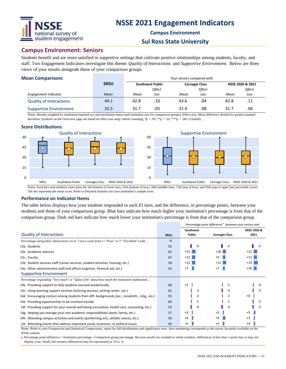

**Campus Environment**

## **Sul Ross State University**

### **Campus Environment: Seniors**

Students benefit and are more satisfied in supportive settings that cultivate positive relationships among students, faculty, and staff. Two Engagement Indicators investigate this theme: *Quality of Interactions* and *Supportive Environment.* Below are three views of your results alongside those of your comparison groups.

| <b>Mean Comparisons</b>        |             |      |                                   | Your seniors compared with |                       |      |                  |  |
|--------------------------------|-------------|------|-----------------------------------|----------------------------|-----------------------|------|------------------|--|
|                                | <b>SRSU</b> |      | <b>Southwest Public</b><br>Effect |                            | <b>Carnegie Class</b> |      | NSSE 2020 & 2021 |  |
|                                |             |      |                                   |                            | Effect                |      | Effect           |  |
| Engagement Indicator           | Mean        | Mean | size                              | Mean                       | size                  | Mean | size             |  |
| <b>Quality of Interactions</b> | 44.1        | 42.8 | .10                               | 43.6                       | .04                   | 42.8 | .11              |  |
| <b>Supportive Environment</b>  | 32.5        | 31.7 | .05                               | 31.4                       | .08                   | 31.7 | .06              |  |

Notes: Results weighted by institution-reported sex and enrollment status (and institution size for comparison groups); Effect size: Mean difference divided by pooled standard deviation; Symbols on the Overview page are based on effect size and *p* before rounding;  $\gamma p < .05$ ,  $\gamma p < .01$ ,  $\gamma p$  = .001 (2-tailed).

#### **Score Distributions**



Notes: Each box-and-whiskers chart plots the 5th (bottom of lower bar), 25th (bottom of box), 50th (middle line), 75th (top of box), and 95th (top of upper bar) percentile scores The dot represents the mean score. Refer to Detailed Statistics for your institution's sample sizes.

#### **Performance on Indicator Items**

The table below displays how your students responded to each EI item, and the difference, in percentage points, between your students and those of your comparison group. Blue bars indicate how much higher your institution's percentage is from that of the comparison group. Dark red bars indicate how much lower your institution's percentage is from that of the comparison group.

|                                                                                                                                                                                                                                                                                  |             |                     | Percentage point difference <sup>a</sup> between your seniors and |                                |
|----------------------------------------------------------------------------------------------------------------------------------------------------------------------------------------------------------------------------------------------------------------------------------|-------------|---------------------|-------------------------------------------------------------------|--------------------------------|
| <b>Quality of Interactions</b>                                                                                                                                                                                                                                                   | <b>SRSU</b> | Southwest<br>Public | <b>Carnegie Class</b>                                             | <b>NSSE 2020 &amp;</b><br>2021 |
| Percentage rating their interactions a 6 or 7 (on a scale from $1 = "Poor"$ to $7 = "Excell"$ ) with                                                                                                                                                                             | %           |                     |                                                                   |                                |
| 13a. Students                                                                                                                                                                                                                                                                    | 53          |                     | -5                                                                |                                |
| 13b. Academic advisors                                                                                                                                                                                                                                                           | 65          | $+12$               | $+10$                                                             | $+12$                          |
| 13c. Faculty                                                                                                                                                                                                                                                                     | 67          | $+12$               | +9                                                                | $+11$                          |
| 13d. Student services staff (career services, student activities, housing, etc.)                                                                                                                                                                                                 | 58          | $+12$               | $+11$                                                             | $+14$                          |
| 13e. Other administrative staff and offices (registrar, financial aid, etc.)                                                                                                                                                                                                     | 54          | $+7$                | $+7$                                                              | $+10$                          |
| Supportive Environment                                                                                                                                                                                                                                                           |             |                     |                                                                   |                                |
| Percentage responding "Very much" or "Quite a bit" about how much the institution emphasized                                                                                                                                                                                     |             |                     |                                                                   |                                |
| 14b. Providing support to help students succeed academically                                                                                                                                                                                                                     | 68          | $+1$                | -1                                                                | -በ                             |
| 14c. Using learning support services (tutoring services, writing center, etc.)                                                                                                                                                                                                   | 62          | -2                  | -3                                                                | -3                             |
| 14d. Encouraging contact among students from diff. backgrounds (soc., racial/eth., relig., etc.)                                                                                                                                                                                 | 55          |                     | $-1$                                                              | $+0$                           |
| 14e. Providing opportunities to be involved socially                                                                                                                                                                                                                             | 60          |                     | -1                                                                | -2                             |
| 14f. Providing support for your overall well-being (recreation, health care, counseling, etc.)                                                                                                                                                                                   | 55          |                     | -4                                                                | -3                             |
| 14g. Helping you manage your non-academic responsibilities (work, family, etc.)                                                                                                                                                                                                  | 37          | $+3$                | $+3$                                                              | $+5$                           |
| 14h. Attending campus activities and events (performing arts, athletic events, etc.)                                                                                                                                                                                             | 54          | $+4$                | $+9$                                                              | $+3$                           |
| 14. Attending events that address important social, economic, or political issues                                                                                                                                                                                                | 45          | $+5$                | $+5$                                                              | $+4$                           |
| . In The Contract of the Contract of the Contract of the Contract of the Contract of the Contract of the Contract of the Contract of the Contract of the Contract of the Contract of the Contract of the Contract of the Contr<br>$\mathbf{M}$ and $\mathbf{M}$ and $\mathbf{M}$ |             |                     |                                                                   |                                |

Notes: Refer to your *Frequencies and Statistical Comparisons* report for full distributions and significance tests. Item numbering corresponds to the survey facsimile available on the NSSE website.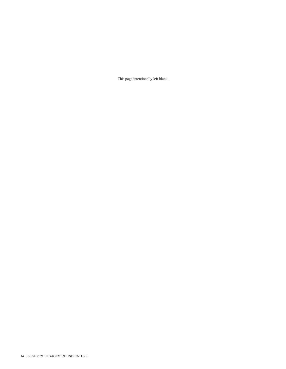This page intentionally left blank.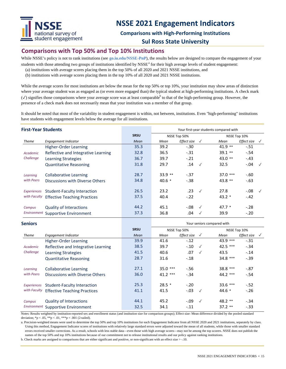

## **Comparisons with High‐Performing Institutions**

#### **Sul Ross State University**

### **Comparisons with Top 50% and Top 10% Institutions**

While NSSE's policy is not to rank institutions (see go.iu.edu/NSSE-PnP), the results below are designed to compare the engagement of your

students with those attending two groups of institutions identified by NSSE<sup> $a$ </sup> for their high average levels of student engagement:

(a) institutions with average scores placing them in the top 50% of all 2020 and 2021 NSSE institutions, and

(b) institutions with average scores placing them in the top 10% of all 2020 and 2021 NSSE institutions.

While the average scores for most institutions are below the mean for the top 50% or top 10%, your institution may show areas of distinction where your average student was as engaged as (or even more engaged than) the typical student at high-performing institutions. A check mark (√) signifies those comparisons where your average score was at least comparable<sup>b</sup> to that of the high-performing group. However, the presence of a check mark does not necessarily mean that your institution was a member of that group.

It should be noted that most of the variability in student engagement is within, not between, institutions. Even "high-performing" institutions have students with engagement levels below the average for all institutions.

| <b>First-Year Students</b> |                                           |             |          |              |              | Your first-year students compared with |             |              |  |
|----------------------------|-------------------------------------------|-------------|----------|--------------|--------------|----------------------------------------|-------------|--------------|--|
|                            |                                           | <b>SRSU</b> |          | NSSE Top 50% |              | NSSE Top 10%                           |             |              |  |
| <b>Theme</b>               | Engagement Indicator                      | Mean        | Mean     | Effect size  | $\checkmark$ | Mean                                   | Effect size | $\checkmark$ |  |
|                            | Higher-Order Learning                     | 35.3        | 39.2     | $-.30$       |              | $41.9$ **                              | $-.51$      |              |  |
| Academic                   | Reflective and Integrative Learning       | 32.8        | 36.5     | $-.31$       |              | $39.1**$                               | $-.54$      |              |  |
| Challenge                  | Learning Strategies                       | 36.7        | 39.7     | $-.21$       |              | $43.0**$                               | $-.43$      |              |  |
|                            | <b>Quantitative Reasoning</b>             | 31.8        | 29.7     | .14          | $\sqrt{ }$   | 32.5                                   | $-.04$      | $\sqrt{ }$   |  |
| Learning                   | <b>Collaborative Learning</b>             | 28.7        | $33.9**$ | $-.37$       |              | $37.0***$                              | $-.60$      |              |  |
| with Peers                 | Discussions with Diverse Others           | 34.8        | 40.6 $*$ | $-.38$       |              | $43.8**$                               | $-.63$      |              |  |
| <b>Experiences</b>         | <b>Student-Faculty Interaction</b>        | 26.5        | 23.2     | .23          | $\sqrt{ }$   | 27.8                                   | $-.08$      | $\sqrt{ }$   |  |
| with Faculty               | <b>Effective Teaching Practices</b>       | 37.5        | 40.4     | $-.22$       |              | $43.2*$                                | $-.42$      |              |  |
| Campus                     | <b>Quality of Interactions</b>            | 44.2        | 45.1     | $-0.08$      | $\checkmark$ | $47.7*$                                | $-.28$      |              |  |
|                            | <b>Environment Supportive Environment</b> | 37.3        | 36.8     | .04          | $\sqrt{2}$   | 39.9                                   | $-.20$      |              |  |

| <b>Seniors</b>     |                                     |             |              |                             | Your seniors compared with |                             |  |  |  |  |
|--------------------|-------------------------------------|-------------|--------------|-----------------------------|----------------------------|-----------------------------|--|--|--|--|
|                    |                                     | <b>SRSU</b> | NSSE Top 50% |                             | NSSE Top 10%               |                             |  |  |  |  |
| <b>Theme</b>       | Engagement Indicator                | Mean        | Mean         | Effect size<br>$\checkmark$ | Mean                       | Effect size<br>$\checkmark$ |  |  |  |  |
|                    | Higher-Order Learning               | 39.9        | 41.6         | $-.12$                      | 43.9 ***                   | $-.31$                      |  |  |  |  |
| <b>Academic</b>    | Reflective and Integrative Learning | 38.5        | 39.7         | $-.10 \quad \sqrt{ }$       | $42.5***$                  | $-.34$                      |  |  |  |  |
| Challenge          | <b>Learning Strategies</b>          | 41.5        | 40.6         | .07<br>$\checkmark$         | 43.5                       | $-.14$                      |  |  |  |  |
|                    | <b>Quantitative Reasoning</b>       | 28.7        | 31.6         | $-.18$                      | $34.8***$                  | $-.39$                      |  |  |  |  |
| Learning           | <b>Collaborative Learning</b>       | 27.1        | $35.0***$    | $-56$                       | 38.8 ***                   | $-.87$                      |  |  |  |  |
| with Peers         | Discussions with Diverse Others     | 36.0        | $41.2$ ***   | $-.34$                      | 44.2 ***                   | $-.54$                      |  |  |  |  |
| <b>Experiences</b> | <b>Student-Faculty Interaction</b>  | 25.3        | $28.5*$      | $-.20$                      | $33.6***$                  | $-.52$                      |  |  |  |  |
| with Faculty       | <b>Effective Teaching Practices</b> | 41.1        | 41.5         | $-.03$<br>$\sqrt{ }$        | $44.6*$                    | $-.26$                      |  |  |  |  |
| Campus             | <b>Quality of Interactions</b>      | 44.1        | 45.2         | $-.09$<br>$\sqrt{ }$        | $48.2**$                   | $-.34$                      |  |  |  |  |
| Environment        | <b>Supportive Environment</b>       | 32.5        | 34.1         | $-.11$                      | $37.2$ **                  | $-.33$                      |  |  |  |  |

Notes: Results weighted by institution-reported sex and enrollment status (and institution size for comparison groups); Effect size: Mean difference divided by the pooled standard deviation; \*p < .05, \*\*p < .01, \*\*\*p < .001 (2-tailed).

a. Precision-weighted means were used to determine the top 50% and top 10% institutions for each Engagement Indicator from all NSSE 2020 and 2021 institutions, separately by class. Using this method, Engagement Indicator scores of institutions with relatively large standard errors were adjusted toward the mean of all students, while those with smaller standard errors received smaller corrections. As a result, schools with less stable data—even those with high average scores—may not be among the top scorers. NSSE does not publish the names of the top 50% and top 10% institutions because of our commitment not to release institutional results and our policy against ranking institutions.

b. Check marks are assigned to comparisons that are either significant and positive, or non-significant with an effect size > -.10.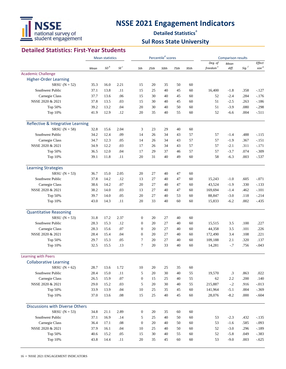

**Detailed Statistics<sup>a</sup>** 

## **Sul Ross State University**

## **Detailed Statistics: First‐Year Students**

|                                   |      | <b>Mean statistics</b> |        |                  |      | Percentile <sup>d</sup> scores |      |      | <b>Comparison results</b>       |           |          |                             |
|-----------------------------------|------|------------------------|--------|------------------|------|--------------------------------|------|------|---------------------------------|-----------|----------|-----------------------------|
|                                   |      | SD <sup>b</sup>        | $SE^c$ |                  |      |                                |      |      | Deg. of<br>freedom <sup>e</sup> | Mean      | Sig. $f$ | Effect<br>size <sup>g</sup> |
| <b>Academic Challenge</b>         | Mean |                        |        | 5th              | 25th | 50th                           | 75th | 95th |                                 | diff.     |          |                             |
| <b>Higher-Order Learning</b>      |      |                        |        |                  |      |                                |      |      |                                 |           |          |                             |
| SRSU $(N = 52)$                   | 35.3 | 16.0                   | 2.21   | 15               | 20   | 35                             | 50   | 60   |                                 |           |          |                             |
| Southwest Public                  | 37.1 | 13.8                   | .11    | 15               | 25   | 40                             | 45   | 60   | 16,400                          | $-1.8$    | .358     | $-127$                      |
|                                   |      |                        |        |                  |      |                                | 45   |      |                                 |           |          |                             |
| Carnegie Class                    | 37.7 | 13.6                   | .06    | 15               | 30   | 40                             |      | 60   | 52                              | $-2.4$    | .284     | $-176$                      |
| NSSE 2020 & 2021                  | 37.8 | 13.5                   | .03    | 15               | 30   | 40                             | 45   | 60   | 51                              | $-2.5$    | .263     | $-186$                      |
| Top 50%                           | 39.2 | 13.2                   | .04    | 20               | 30   | 40                             | 50   | 60   | 51                              | $-3.9$    | .080     | $-.298$                     |
| Top 10%                           | 41.9 | 12.9                   | .12    | 20               | 35   | 40                             | 55   | 60   | 52                              | $-6.6$    | .004     | $-511$                      |
| Reflective & Integrative Learning |      |                        |        |                  |      |                                |      |      |                                 |           |          |                             |
| SRSU $(N = 58)$                   | 32.8 | 15.6                   | 2.04   | 3                | 23   | 29                             | 40   | 60   |                                 |           |          |                             |
| Southwest Public                  | 34.2 | 12.4                   | .09    | 14               | 26   | 34                             | 43   | 57   | 57                              | $-1.4$    | .488     | $-115$                      |
| Carnegie Class                    | 34.7 | 12.3                   | .05    | 14               | 26   | 34                             | 43   | 57   | 57                              | $-1.9$    | .367     | $-.151$                     |
| NSSE 2020 & 2021                  | 34.9 | 12.2                   | .03    | 17               | 26   | 34                             | 43   | 57   | 57                              | $-2.1$    | .311     | $-.171$                     |
| Top 50%                           | 36.5 | 12.0                   | .04    | 17               | 29   | 37                             | 46   | 57   | 57                              | $-3.7$    | .074     | $-0.309$                    |
| Top 10%                           | 39.1 | 11.8                   | .11    | 20               | 31   | 40                             | 49   | 60   | 58                              | $-6.3$    | .003     | $-.537$                     |
| <b>Learning Strategies</b>        |      |                        |        |                  |      |                                |      |      |                                 |           |          |                             |
| SRSU $(N = 53)$                   | 36.7 | 15.0                   | 2.05   | 20               | 27   | 40                             | 47   | 60   |                                 |           |          |                             |
| Southwest Public                  | 37.8 | 14.2                   | .12    | 13               | 27   | 40                             | 47   | 60   | 15,243                          | $-1.0$    | .605     | $-.071$                     |
| Carnegie Class                    | 38.6 | 14.2                   | .07    | 20               | 27   | 40                             | 47   | 60   | 43,524                          | $-1.9$    | .330     | $-.133$                     |
| NSSE 2020 & 2021                  | 38.2 | 14.0                   | .03    | 13               | 27   | 40                             | 47   | 60   | 169,694                         | $-1.4$    | .462     | $-.101$                     |
|                                   |      |                        |        |                  |      |                                |      |      |                                 |           |          |                             |
| Top 50%                           | 39.7 | 14.0                   | .05    | 20               | 27   | 40                             | 53   | 60   | 88,847                          | $-3.0$    | .118     | $-214$                      |
| Top 10%                           | 43.0 | 14.3                   | .11    | 20               | 33   | 40                             | 60   | 60   | 15,833                          | $-6.2$    | .002     | $-435$                      |
| <b>Quantitative Reasoning</b>     |      |                        |        |                  |      |                                |      |      |                                 |           |          |                             |
| SRSU $(N = 53)$                   | 31.8 | 17.2                   | 2.37   | $\boldsymbol{0}$ | 20   | 27                             | 40   | 60   |                                 |           |          |                             |
| Southwest Public                  | 28.3 | 15.3                   | .12    | $\boldsymbol{0}$ | 20   | 27                             | 40   | 60   | 15,515                          | 3.5       | .100     | .227                        |
| Carnegie Class                    | 28.3 | 15.6                   | .07    | $\mathbf{0}$     | 20   | 27                             | 40   | 60   | 44,358                          | 3.5       | .101     | .226                        |
| NSSE 2020 & 2021                  | 28.4 | 15.4                   | .04    | $\mathbf{0}$     | 20   | 27                             | 40   | 60   | 172,490                         | 3.4       | .108     | .221                        |
| Top 50%                           | 29.7 | 15.3                   | .05    | $\overline{7}$   | 20   | 27                             | 40   | 60   | 109,188                         | 2.1       | .320     | .137                        |
| Top 10%                           | 32.5 | 15.5                   | .13    | $\overline{7}$   | 20   | 33                             | 40   | 60   | 14,281                          | $-.7$     | .756     | $-.043$                     |
| Learning with Peers               |      |                        |        |                  |      |                                |      |      |                                 |           |          |                             |
| <b>Collaborative Learning</b>     |      |                        |        |                  |      |                                |      |      |                                 |           |          |                             |
| SRSU $(N = 62)$                   | 28.7 | 13.6                   | 1.72   | 10               | 20   | 25                             | 35   | 60   |                                 |           |          |                             |
| Southwest Public                  | 28.4 | 15.0                   | .11    | 5                | 20   | 30                             | 40   | 55   | 19,570                          | $\cdot$ 3 | .863     | .022                        |
| Carnegie Class                    | 26.5 | 15.9                   | .07    | $\boldsymbol{0}$ | 15   | 25                             | 40   | 55   | 62                              | 2.2       | .200     | .140                        |
| NSSE 2020 & 2021                  | 29.0 | 15.2                   | .03    | 5                | 20   | 30                             | 40   | 55   | 215,887                         | $-.2$     | .916     | $-.013$                     |
| Top 50%                           | 33.9 | 13.9                   | .04    | 10               | 25   | 35                             | 45   | 60   | 141,964                         | $-5.1$    | .004     | $-0.369$                    |
|                                   |      |                        |        |                  |      |                                |      |      |                                 |           |          |                             |
| Top 10%                           | 37.0 | 13.6                   | .08    | 15               | 25   | 40                             | 45   | 60   | 28,076                          | $-8.2$    | .000     | $-.604$                     |
| Discussions with Diverse Others   |      |                        |        |                  |      |                                |      |      |                                 |           |          |                             |
| SRSU $(N = 53)$                   | 34.8 | 21.1                   | 2.89   | $\boldsymbol{0}$ | 20   | 35                             | 60   | 60   |                                 |           |          |                             |
| Southwest Public                  | 37.1 | 16.9                   | .14    | 5                | 25   | 40                             | 50   | 60   | 53                              | $-2.3$    | .432     | $-135$                      |
| Carnegie Class                    | 36.4 | 17.1                   | .08    | $\boldsymbol{0}$ | 20   | 40                             | 50   | 60   | 53                              | $-1.6$    | .585     | $-.093$                     |
| NSSE 2020 & 2021                  | 37.9 | 16.1                   | .04    | 10               | 25   | 40                             | 50   | 60   | 52                              | $-3.0$    | .296     | $-.189$                     |
| Top 50%                           | 40.6 | 15.2                   | .05    | 15               | 30   | 40                             | 55   | 60   | 52                              | $-5.8$    | .049     | $-383$                      |
| Top 10%                           | 43.8 | 14.4                   | .11    | 20               | 35   | 45                             | 60   | 60   | 53                              | $-9.0$    | .003     | $-.625$                     |
|                                   |      |                        |        |                  |      |                                |      |      |                                 |           |          |                             |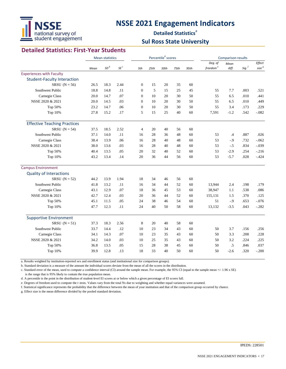

**Detailed Statistics**<sup>a</sup>

## **Sul Ross State University**

### **Detailed Statistics: First‐Year Students**

|                                     |      | <b>Mean statistics</b> |        |                  |      | Percentile <sup>d</sup> scores |      |      |                      | <b>Comparison results</b> |          |                   |
|-------------------------------------|------|------------------------|--------|------------------|------|--------------------------------|------|------|----------------------|---------------------------|----------|-------------------|
|                                     |      |                        |        |                  |      |                                |      |      | Deg. of              | Mean                      |          | Effect            |
|                                     | Mean | SD <sup>b</sup>        | $SE^c$ | 5th              | 25th | 50th                           | 75th | 95th | freedom <sup>e</sup> | diff.                     | Sig. $f$ | size <sup>g</sup> |
| <b>Experiences with Faculty</b>     |      |                        |        |                  |      |                                |      |      |                      |                           |          |                   |
| <b>Student-Faculty Interaction</b>  |      |                        |        |                  |      |                                |      |      |                      |                           |          |                   |
| SRSU $(N = 56)$                     | 26.5 | 18.3                   | 2.44   | $\boldsymbol{0}$ | 15   | 20                             | 35   | 60   |                      |                           |          |                   |
| Southwest Public                    | 18.8 | 14.8                   | .11    | $\mathbf{0}$     | 5    | 15                             | 25   | 45   | 55                   | 7.7                       | .003     | .521              |
| Carnegie Class                      | 20.0 | 14.7                   | .07    | $\mathbf{0}$     | 10   | 20                             | 30   | 50   | 55                   | 6.5                       | .010     | .441              |
| NSSE 2020 & 2021                    | 20.0 | 14.5                   | .03    | $\mathbf{0}$     | 10   | 20                             | 30   | 50   | 55                   | 6.5                       | .010     | .449              |
| Top 50%                             | 23.2 | 14.7                   | .06    | $\overline{0}$   | 10   | 20                             | 30   | 50   | 55                   | 3.4                       | .173     | .229              |
| Top 10%                             | 27.8 | 15.2                   | .17    | 5                | 15   | 25                             | 40   | 60   | 7,591                | $-1.2$                    | .542     | $-0.082$          |
| <b>Effective Teaching Practices</b> |      |                        |        |                  |      |                                |      |      |                      |                           |          |                   |
| SRSU $(N = 54)$                     | 37.5 | 18.5                   | 2.52   | $\overline{4}$   | 20   | 40                             | 56   | 60   |                      |                           |          |                   |
| Southwest Public                    | 37.1 | 14.0                   | .11    | 16               | 28   | 36                             | 48   | 60   | 53                   | .4                        | .887     | .026              |
| Carnegie Class                      | 38.4 | 13.9                   | .06    | 16               | 28   | 40                             | 48   | 60   | 53                   | $-9$                      | .732     | $-.062$           |
| NSSE 2020 & 2021                    | 38.0 | 13.6                   | .03    | 16               | 28   | 40                             | 48   | 60   | 53                   | $-.5$                     | .834     | $-0.39$           |
| Top 50%                             | 40.4 | 13.5                   | .05    | 20               | 32   | 40                             | 52   | 60   | 53                   | $-2.9$                    | .254     | $-.216$           |
| Top 10%                             | 43.2 | 13.4                   | .14    | 20               | 36   | 44                             | 56   | 60   | 53                   | $-5.7$                    | .028     | $-424$            |
| <b>Campus Environment</b>           |      |                        |        |                  |      |                                |      |      |                      |                           |          |                   |
| <b>Quality of Interactions</b>      |      |                        |        |                  |      |                                |      |      |                      |                           |          |                   |
| SRSU $(N = 52)$                     | 44.2 | 13.9                   | 1.94   | 18               | 34   | 46                             | 56   | 60   |                      |                           |          |                   |
| Southwest Public                    | 41.8 | 13.2                   | .11    | 16               | 34   | 44                             | 52   | 60   | 13,944               | 2.4                       | .198     | .179              |
| Carnegie Class                      | 43.1 | 12.9                   | .07    | 18               | 36   | 45                             | 53   | 60   | 38,947               | 1.1                       | .538     | .086              |
| NSSE 2020 & 2021                    | 42.7 | 12.4                   | .03    | 20               | 36   | 44                             | 52   | 60   | 155,131              | 1.5                       | .370     | .125              |
| Top 50%                             | 45.1 | 11.5                   | .05    | 24               | 38   | 46                             | 54   | 60   | 51                   | $-0.9$                    | .653     | $-0.076$          |
| Top 10%                             | 47.7 | 12.3                   | .11    | 24               | 40   | 50                             | 58   | 60   | 13,132               | $-3.5$                    | .043     | $-.282$           |
| <b>Supportive Environment</b>       |      |                        |        |                  |      |                                |      |      |                      |                           |          |                   |
| SRSU $(N = 51)$                     | 37.3 | 18.3                   | 2.56   | 8                | 20   | 40                             | 58   | 60   |                      |                           |          |                   |
| Southwest Public                    | 33.7 | 14.4                   | .12    | 10               | 23   | 34                             | 43   | 60   | 50                   | 3.7                       | .156     | .256              |
| Carnegie Class                      | 34.1 | 14.3                   | .07    | 10               | 23   | 35                             | 43   | 60   | 50                   | 3.3                       | .208     | .228              |
| NSSE 2020 & 2021                    | 34.2 | 14.0                   | .03    | 10               | 25   | 35                             | 43   | 60   | 50                   | 3.2                       | .224     | .225              |
| Top 50%                             | 36.8 | 13.5                   | .05    | 15               | 28   | 38                             | 45   | 60   | 50                   | $.5\,$                    | .846     | .037              |
| Top 10%                             | 39.9 | 12.8                   | .13    | 18               | 33   | 40                             | 50   | 60   | 50                   | $-2.6$                    | .320     | $-.200$           |

a. Results weighted by institution-reported sex and enrollment status (and institutional size for comparison groups).

b. Standard deviation is a measure of the amount the individual scores deviate from the mean of all the scores in the distribution.

c. Standard error of the mean, used to compute a confidence interval (CI) around the sample mean. For example, the 95% CI (equal to the sample mean +/- 1.96 x SE) is the range that is 95% likely to contain the true population mean.

d. A percentile is the point in the distribution of student-level EI scores at or below which a given percentage of EI scores fall.

e. Degrees of freedom used to compute the *t* -tests. Values vary from the total Ns due to weighting and whether equal variances were assumed.

f. Statistical significance represents the probability that the difference between the mean of your institution and that of the comparison group occurred by chance.

g. Effect size is the mean difference divided by the pooled standard deviation.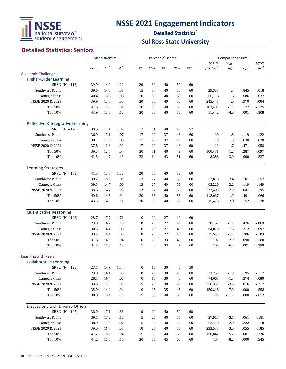

**Sul Ross State University Detailed Statistics<sup>a</sup>** 

## **Detailed Statistics: Seniors**

|                                   |              | <b>Mean statistics</b> |            |                  |      | Percentile <sup>d</sup> scores |      |      | <b>Comparison results</b> |             |          |                             |  |  |
|-----------------------------------|--------------|------------------------|------------|------------------|------|--------------------------------|------|------|---------------------------|-------------|----------|-----------------------------|--|--|
|                                   |              | SD <sup>b</sup>        | $SE^c$     |                  |      |                                |      |      | Deg. of                   | Mean        | Sig. $f$ | Effect<br>size <sup>g</sup> |  |  |
| <b>Academic Challenge</b>         | Mean         |                        |            | 5th              | 25th | 50th                           | 75th | 95th | ${\it freedom}^{\,e}$     | diff.       |          |                             |  |  |
| <b>Higher-Order Learning</b>      |              |                        |            |                  |      |                                |      |      |                           |             |          |                             |  |  |
| SRSU $(N = 118)$                  |              | 14.0                   | 1.29       | 20               | 30   | 40                             | 50   | 60   |                           |             |          |                             |  |  |
| Southwest Public                  | 39.9<br>39.6 | 14.3                   | .08        | 15               | 30   | 40                             | 50   | 60   | 29,385                    | $\cdot$ 3   | .845     | .018                        |  |  |
|                                   |              |                        |            |                  |      |                                | 50   |      |                           |             |          |                             |  |  |
| Carnegie Class                    | 40.4         | 13.8                   | .05<br>.03 | 20               | 30   | 40<br>40                       | 50   | 60   | 66,716                    | $-.5$<br>.0 | .686     | $-.037$                     |  |  |
| NSSE 2020 & 2021                  | 39.9         | 13.8                   |            | 20               | 30   |                                |      | 60   | 245,445                   |             | .970     | $-.004$                     |  |  |
| Top 50%                           | 41.6         | 13.6                   | .04        | 20               | 35   | 40                             | 55   | 60   | 103,489                   | $-1.7$      | .177     | $-125$                      |  |  |
| Top 10%                           | 43.9         | 13.0                   | .12        | 20               | 35   | 40                             | 55   | 60   | 11,442                    | $-4.0$      | .001     | $-.308$                     |  |  |
| Reflective & Integrative Learning |              |                        |            |                  |      |                                |      |      |                           |             |          |                             |  |  |
| SRSU $(N = 120)$                  | 38.5         | 11.1                   | 1.02       | 17               | 31   | 40                             | 46   | 57   |                           |             |          |                             |  |  |
| Southwest Public                  | 36.9         | 13.1                   | .07        | 17               | 29   | 37                             | 46   | 60   | 120                       | 1.6         | .119     | .122                        |  |  |
| Carnegie Class                    | 38.1         | 12.8                   | .05        | 17               | 29   | 37                             | 49   | 60   | 119                       | $.5\,$      | .630     | .038                        |  |  |
| NSSE 2020 & 2021                  | 37.8         | 12.8                   | .02        | 17               | 29   | 37                             | 46   | 60   | 119                       | .7          | .471     | .058                        |  |  |
| Top 50%                           | 39.7         | 12.4                   | .04        | 20               | 31   | 40                             | 49   | 60   | 100,431                   | $-1.2$      | .287     | $-.097$                     |  |  |
| Top 10%                           | 42.5         | 11.7                   | .13        | 23               | 34   | 43                             | 51   | 60   | 8,386                     | $-3.9$      | .000     | $-.337$                     |  |  |
| <b>Learning Strategies</b>        |              |                        |            |                  |      |                                |      |      |                           |             |          |                             |  |  |
| SRSU $(N = 109)$                  | 41.5         | 13.8                   | 1.32       | 20               | 33   | 40                             | 53   | 60   |                           |             |          |                             |  |  |
| Southwest Public                  | 39.2         | 15.0                   | .09        | 13               | 27   | 40                             | 53   | 60   | 27,815                    | 2.4         | .101     | .157                        |  |  |
| Carnegie Class                    | 39.3         | 14.7                   | .06        | 13               | 27   | 40                             | 53   | 60   | 63,220                    | 2.2         | .119     | .149                        |  |  |
| NSSE 2020 & 2021                  | 38.6         | 14.7                   | .03        | 13               | 27   | 40                             | 53   | 60   | 232,498                   | 2.9         | .041     | .195                        |  |  |
| Top 50%                           | 40.6         | 14.6                   | .04        | 20               | 33   | 40                             | 53   | 60   | 118,037                   | 1.0         | .491     | .066                        |  |  |
| Top 10%                           | 43.5         | 14.2                   | .11        | 20               | 33   | 40                             | 60   | 60   | 15,475                    | $-2.0$      | .152     | $-.138$                     |  |  |
| <b>Quantitative Reasoning</b>     |              |                        |            |                  |      |                                |      |      |                           |             |          |                             |  |  |
| SRSU $(N = 108)$                  | 28.7         | 17.7                   | 1.71       | $\boldsymbol{0}$ | 20   | 27                             | 40   | 60   |                           |             |          |                             |  |  |
| Southwest Public                  | 29.8         | 16.7                   | .10        | $\boldsymbol{0}$ | 20   | 27                             | 40   | 60   | 28,167                    |             | .476     | $-.069$                     |  |  |
|                                   |              |                        |            |                  |      |                                |      |      |                           | $-1.1$      |          |                             |  |  |
| Carnegie Class                    | 30.3         | 16.4                   | .06        | $\mathbf{0}$     | 20   | 27                             | 40   | 60   | 64,070                    | $-1.6$      | .312     | $-.097$                     |  |  |
| NSSE 2020 & 2021                  | 30.4         | 16.4                   | .03        | $\mathbf{0}$     | 20   | 27                             | 40   | 60   | 235,540                   | $-1.7$      | .286     | $-.103$                     |  |  |
| Top 50%                           | 31.6         | 16.3                   | .04        | $\mathbf{0}$     | 20   | 33                             | 40   | 60   | 107                       | $-2.9$      | .090     | $-.180$                     |  |  |
| Top 10%                           | 34.8         | 15.8                   | .13        | $\tau$           | 20   | 33                             | 47   | 60   | 108                       | $-6.2$      | .001     | $-389$                      |  |  |
| Learning with Peers               |              |                        |            |                  |      |                                |      |      |                           |             |          |                             |  |  |
| <b>Collaborative Learning</b>     |              |                        |            |                  |      |                                |      |      |                           |             |          |                             |  |  |
| SRSU $(N = 123)$                  | 27.1         | 14.9                   | 1.34       | $\boldsymbol{0}$ | 15   | 30                             | 40   | 50   |                           |             |          |                             |  |  |
| Southwest Public                  | 29.0         | 16.1                   | .09        | $\boldsymbol{0}$ | 20   | 30                             | 40   | 60   | 33,259                    | $-1.9$      | .195     | $-.117$                     |  |  |
| Carnegie Class                    | 28.5         | 16.7                   | .06        | $\boldsymbol{0}$ | 15   | 30                             | 40   | 60   | 74,665                    | $-1.3$      | .374     | $-.080$                     |  |  |
| NSSE 2020 & 2021                  | 30.6         | 15.9                   | .03        | 5                | 20   | 30                             | 40   | 60   | 276,339                   | $-3.4$      | .016     | $-.217$                     |  |  |
| Top 50%                           | 35.0         | 14.2                   | .04        | 10               | 25   | 35                             | 45   | 60   | 150,818                   | $-7.9$      | .000     | $-558$                      |  |  |
| Top 10%                           | 38.8         | 13.4                   | .10        | 15               | 30   | 40                             | 50   | 60   | 124                       | $-11.7$     | .000     | $-.872$                     |  |  |
| Discussions with Diverse Others   |              |                        |            |                  |      |                                |      |      |                           |             |          |                             |  |  |
| SRSU $(N = 107)$                  | 36.0         | 17.1                   | 1.66       | 10               | 20   | 40                             | 50   | 60   |                           |             |          |                             |  |  |
| Southwest Public                  | 39.1         | 17.2                   | .10        | 5                | 25   | 40                             | 55   | 60   | 27,917                    | $-3.1$      | .061     | $-.181$                     |  |  |
| Carnegie Class                    | 38.0         | 17.0                   | .07        | 5                | 25   | 40                             | 55   | 60   | 63,428                    | $-2.0$      | .222     | $-.118$                     |  |  |
| NSSE 2020 & 2021                  | 39.0         | 16.3                   | .03        | 10               | 25   | 40                             | 55   | 60   | 233,533                   | $-3.0$      | .055     | $-.185$                     |  |  |
| Top 50%                           | 41.2         | 15.6                   | .04        | 15               | 30   | 40                             | 60   | 60   | 150,847                   | $-5.2$      | .001     | $-336$                      |  |  |
| Top 10%                           | 44.2         | 15.0                   | .10        | 20               | 35   | 45                             | 60   | 60   | 107                       | $-8.2$      | .000     | $-.545$                     |  |  |
|                                   |              |                        |            |                  |      |                                |      |      |                           |             |          |                             |  |  |